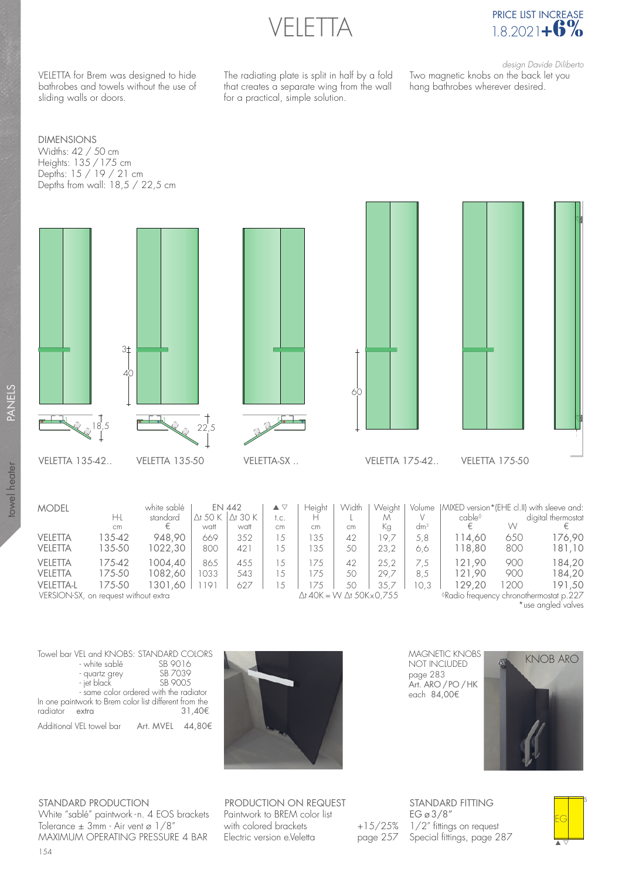'FI FTTA



VELETTA for Brem was designed to hide bathrobes and towels without the use of sliding walls or doors.

The radiating plate is split in half by a fold that creates a separate wing from the wall for a practical, simple solution.

design Davide Diliberto Two magnetic knobs on the back let you hang bathrobes wherever desired.

DIMENSIONS Widths: 42 / 50 cm Heights: 135 / 175 cm Depths: 15 / 19 / 21 cm Depths from wall: 18,5 / 22,5 cm





| <b>MODEL</b>                                             | H-L<br>cm | white sablé<br>standard | Ơ 50 K<br>watt | <b>EN 442</b><br>$\Delta$ t 30 K<br>watt | ▴<br>t.c.<br>cm | Heiaht<br>cm                                    | Width<br>cm | Weiaht<br>М<br>Кa | Volume<br>dm <sup>3</sup> | cable <sup>◊</sup> | w   | MIXED version * (EHE cl.II) with sleeve and:<br>digital thermostat |
|----------------------------------------------------------|-----------|-------------------------|----------------|------------------------------------------|-----------------|-------------------------------------------------|-------------|-------------------|---------------------------|--------------------|-----|--------------------------------------------------------------------|
| <b>VELETTA</b>                                           | 135-42    | 948.90                  | 669            | 352                                      |                 | 35                                              | 42          | 19.7              | 5.8                       | 114.60             | 650 | 176,90                                                             |
| <b>VELETTA</b>                                           | 135-50    | 1022.30                 | 800            | 421                                      |                 | 35                                              | 50          | 23.2              | 6.6                       | 118.80             | 800 | 181,10                                                             |
| <b>VELETTA</b>                                           | 175-42    | 1004.40                 | 865            | 455                                      | $\ddot{}$       | 75                                              | 42          | 25.2              | 7.5                       | 121.90             | 900 | 184,20                                                             |
| <b>VELETTA</b>                                           | 175-50    | 1082.60                 | 033            | 543                                      | .5              | 75                                              | 50          | 29.7              | 8.5                       | 121.90             | 900 | 184,20                                                             |
| <b>VELETTA-L</b><br>VERSION-SX, on request without extra | 175-50    | 1301.60                 | ۱Q,            | 627                                      |                 | 75<br>$\Delta$ t 40K = W $\Delta$ t 50K x 0,755 | 50          | 35.7              | 0.3                       | 129.20             | 200 | 191.50<br><sup>O</sup> Radio frequency chronothermostat p.227      |

\*use angled valves

- white sablé SB 9016 - quartz grey SB 7039 - jet black SB 9005 - same color ordered with the radiator In one paintwork to Brem color list different from the radiator extra  $31.40\epsilon$ radiator extra Additional VEL towel bar Art. MVEL 44,80€



MAGNETIC KNOBS NOT INCLUDED page 283 Art. ARO / PO / HK each 84,00€



STANDARD PRODUCTION White "sablé" paintwork - n. 4 EOS brackets Tolerance  $\pm$  3mm - Air vent ø 1/8" MAXIMUM OPERATING PRESSURE 4 BAR

PRODUCTION ON REQUEST Paintwork to BREM color list with colored brackets  $+15/25%$ Electric version e.Veletta page 257

STANDARD FITTING EG ø 3/8" 1/2" fittings on request Special fittings, page 287

s EG ▲△